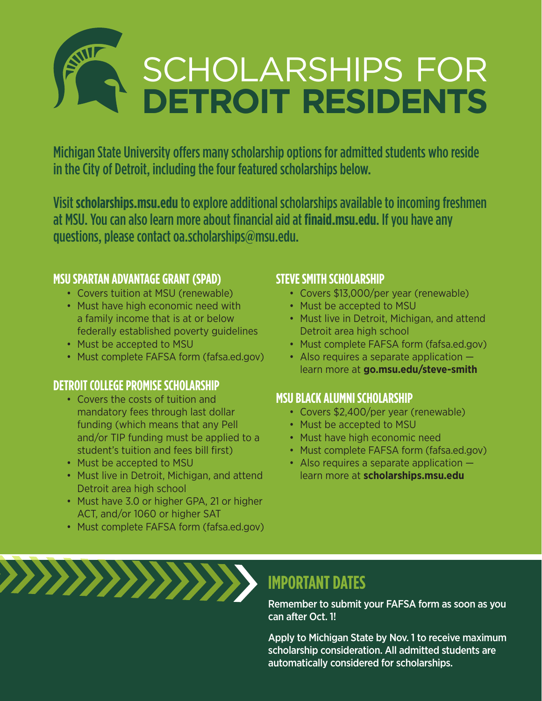# SCHOLARSHIPS FOR **DETROIT RESIDENTS**

Michigan State University offers many scholarship options for admitted students who reside in the City of Detroit, including the four featured scholarships below.

Visit **scholarships.msu.edu** to explore additional scholarships available to incoming freshmen at MSU. You can also learn more about financial aid at **finaid.msu.edu**. If you have any questions, please contact oa.scholarships@msu.edu.

#### **MSU SPARTAN ADVANTAGE GRANT (SPAD)**

- Covers tuition at MSU (renewable)
- Must have high economic need with a family income that is at or below federally established poverty guidelines
- Must be accepted to MSU
- Must complete FAFSA form (fafsa.ed.gov)

#### **DETROIT COLLEGE PROMISE SCHOLARSHIP**

- Covers the costs of tuition and mandatory fees through last dollar funding (which means that any Pell and/or TIP funding must be applied to a student's tuition and fees bill first)
- Must be accepted to MSU
- Must live in Detroit, Michigan, and attend Detroit area high school
- Must have 3.0 or higher GPA, 21 or higher ACT, and/or 1060 or higher SAT
- Must complete FAFSA form (fafsa.ed.gov)

#### **STEVE SMITH SCHOLARSHIP**

- Covers \$13,000/per year (renewable)
- Must be accepted to MSU
- Must live in Detroit, Michigan, and attend Detroit area high school
- Must complete FAFSA form (fafsa.ed.gov)
- Also requires a separate application learn more at **go.msu.edu/steve-smith**

#### **MSU BLACK ALUMNI SCHOLARSHIP**

- Covers \$2,400/per year (renewable)
- Must be accepted to MSU
- Must have high economic need
- Must complete FAFSA form (fafsa.ed.gov)
- Also requires a separate application learn more at **scholarships.msu.edu**



## **IMPORTANT DATES**

Remember to submit your FAFSA form as soon as you can after Oct. 1!

Apply to Michigan State by Nov. 1 to receive maximum scholarship consideration. All admitted students are automatically considered for scholarships.